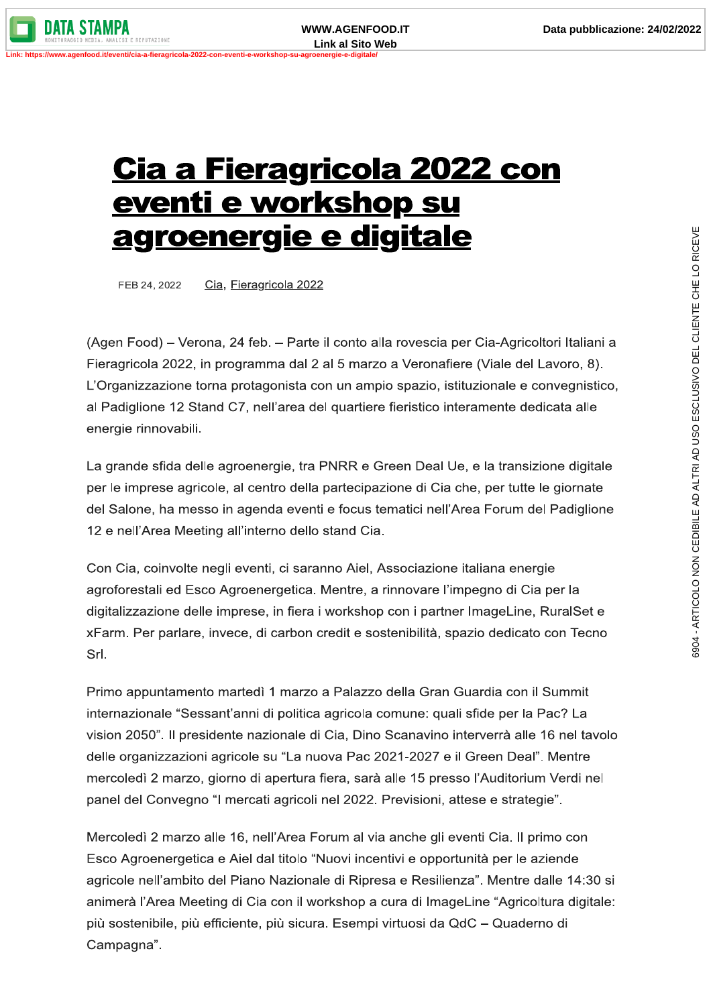## <u>Cia a Fieragricola 2022 con</u> <u>eventi e workshop su</u> <u>agroenergie e digitale</u>

FEB 24, 2022 Cia, Fieragricola 2022

(Agen Food) – Verona, 24 feb. – Parte il conto alla rovescia per Cia-Agricoltori Italiani a Fieragricola 2022, in programma dal 2 al 5 marzo a Veronafiere (Viale del Lavoro, 8). L'Organizzazione torna protagonista con un ampio spazio, istituzionale e convegnistico, al Padiglione 12 Stand C7, nell'area del quartiere fieristico interamente dedicata alle energie rinnovabili.

La grande sfida delle agroenergie, tra PNRR e Green Deal Ue, e la transizione digitale per le imprese agricole, al centro della partecipazione di Cia che, per tutte le giornate del Salone, ha messo in agenda eventi e focus tematici nell'Area Forum del Padiglione 12 e nell'Area Meeting all'interno dello stand Cia.

Con Cia, coinvolte negli eventi, ci saranno Aiel, Associazione italiana energie agroforestali ed Esco Agroenergetica. Mentre, a rinnovare l'impegno di Cia per la digitalizzazione delle imprese, in fiera i workshop con i partner ImageLine, RuralSet e xFarm. Per parlare, invece, di carbon credit e sostenibilità, spazio dedicato con Tecno Srl.

Primo appuntamento martedì 1 marzo a Palazzo della Gran Guardia con il Summit internazionale "Sessant'anni di politica agricola comune: quali sfide per la Pac? La vision 2050". Il presidente nazionale di Cia, Dino Scanavino interverrà alle 16 nel tavolo delle organizzazioni agricole su "La nuova Pac 2021-2027 e il Green Deal". Mentre mercoledì 2 marzo, giorno di apertura fiera, sarà alle 15 presso l'Auditorium Verdi nel panel del Convegno "I mercati agricoli nel 2022. Previsioni, attese e strategie".

Mercoledì 2 marzo alle 16, nell'Area Forum al via anche gli eventi Cia. Il primo con Esco Agroenergetica e Aiel dal titolo "Nuovi incentivi e opportunità per le aziende agricole nell'ambito del Piano Nazionale di Ripresa e Resilienza". Mentre dalle 14:30 si animerà l'Area Meeting di Cia con il workshop a cura di ImageLine "Agricoltura digitale: più sostenibile, più efficiente, più sicura. Esempi virtuosi da QdC - Quaderno di Campagna".